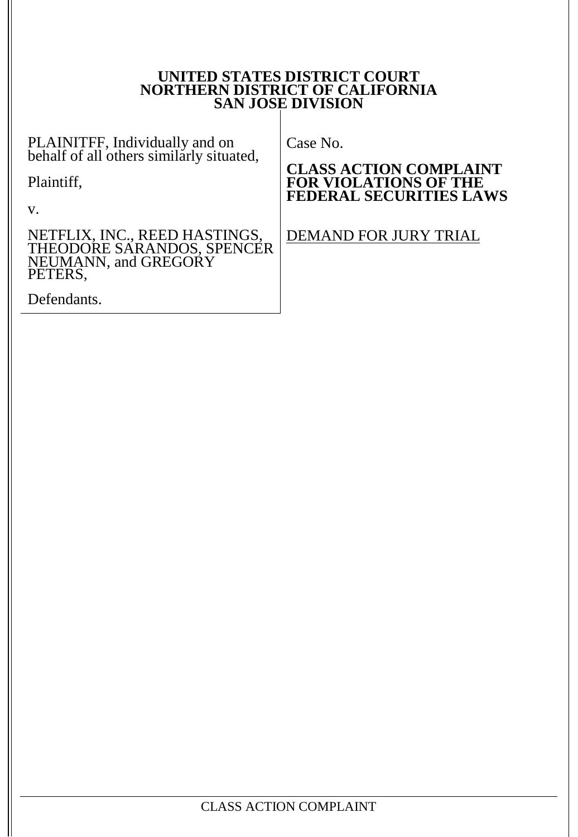#### **UNITED STATES DISTRICT COURT NORTHERN DISTRICT OF CALIFORNIA SAN JOSE DIVISION**

PLAINITFF, Individually and on  $\vert$  ( behalf of all others similarly situated,

Plaintiff,

v.

NETFLIX, INC., REED HASTINGS, THEODORE SARANDOS, SPENCER NEUMANN, and GREGORY PETERS,

Defendants.

Case No.

**CLASS ACTION COMPLAINT FOR VIOLATIONS OF THE FEDERAL SECURITIES LAWS**

DEMAND FOR JURY TRIAL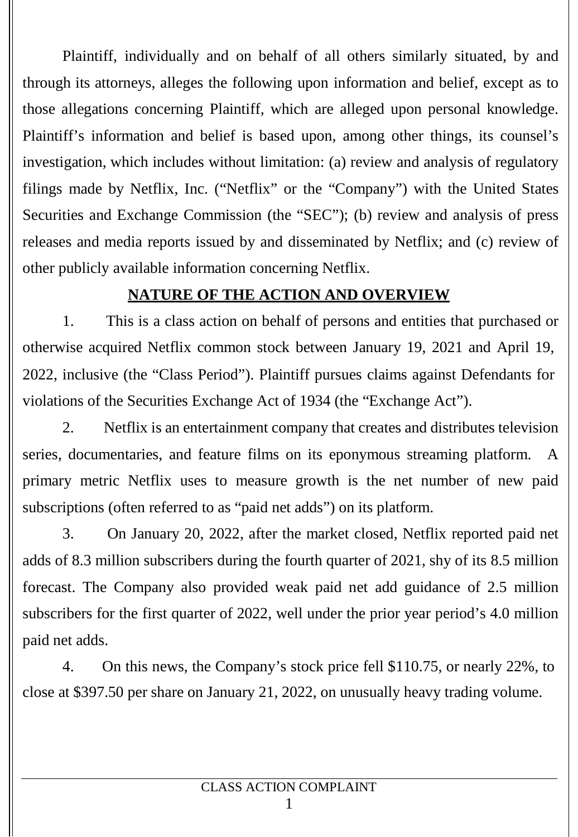Plaintiff, individually and on behalf of all others similarly situated, by and through its attorneys, alleges the following upon information and belief, except as to those allegations concerning Plaintiff, which are alleged upon personal knowledge. Plaintiff's information and belief is based upon, among other things, its counsel's investigation, which includes without limitation: (a) review and analysis of regulatory filings made by Netflix, Inc. ("Netflix" or the "Company") with the United States Securities and Exchange Commission (the "SEC"); (b) review and analysis of press releases and media reports issued by and disseminated by Netflix; and (c) review of other publicly available information concerning Netflix.

## **NATURE OF THE ACTION AND OVERVIEW**

1. This is a class action on behalf of persons and entities that purchased or otherwise acquired Netflix common stock between January 19, 2021 and April 19, 2022, inclusive (the "Class Period"). Plaintiff pursues claims against Defendants for violations of the Securities Exchange Act of 1934 (the "Exchange Act").

2. Netflix is an entertainment company that creates and distributes television series, documentaries, and feature films on its eponymous streaming platform. A primary metric Netflix uses to measure growth is the net number of new paid subscriptions (often referred to as "paid net adds") on its platform.

3. On January 20, 2022, after the market closed, Netflix reported paid net adds of 8.3 million subscribers during the fourth quarter of 2021, shy of its 8.5 million forecast. The Company also provided weak paid net add guidance of 2.5 million subscribers for the first quarter of 2022, well under the prior year period's 4.0 million paid net adds.

4. On this news, the Company's stock price fell \$110.75, or nearly 22%, to close at \$397.50 per share on January 21, 2022, on unusually heavy trading volume.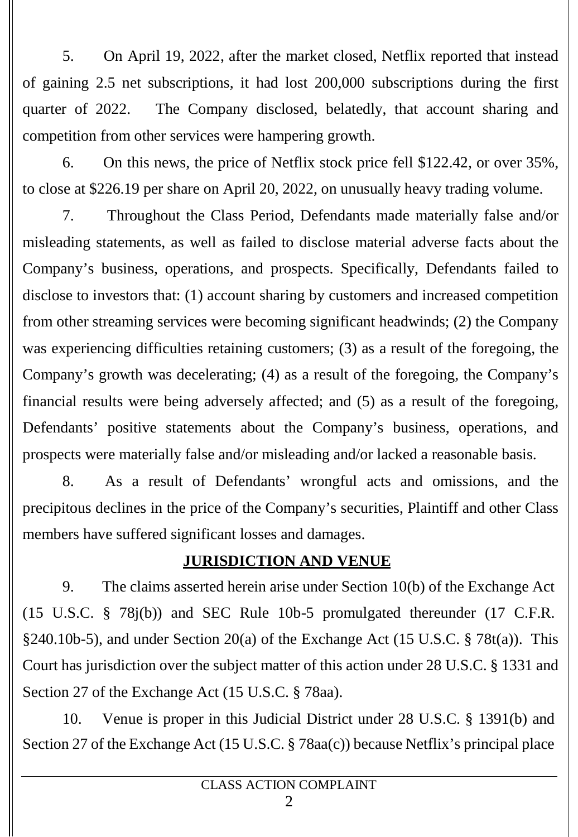5. On April 19, 2022, after the market closed, Netflix reported that instead of gaining 2.5 net subscriptions, it had lost 200,000 subscriptions during the first quarter of 2022. The Company disclosed, belatedly, that account sharing and competition from other services were hampering growth.

6. On this news, the price of Netflix stock price fell \$122.42, or over 35%, to close at \$226.19 per share on April 20, 2022, on unusually heavy trading volume.

7. Throughout the Class Period, Defendants made materially false and/or misleading statements, as well as failed to disclose material adverse facts about the Company's business, operations, and prospects. Specifically, Defendants failed to disclose to investors that: (1) account sharing by customers and increased competition from other streaming services were becoming significant headwinds; (2) the Company was experiencing difficulties retaining customers; (3) as a result of the foregoing, the Company's growth was decelerating; (4) as a result of the foregoing, the Company's financial results were being adversely affected; and (5) as a result of the foregoing, Defendants' positive statements about the Company's business, operations, and prospects were materially false and/or misleading and/or lacked a reasonable basis.

8. As a result of Defendants' wrongful acts and omissions, and the precipitous declines in the price of the Company's securities, Plaintiff and other Class members have suffered significant losses and damages.

## **JURISDICTION AND VENUE**

9. The claims asserted herein arise under Section 10(b) of the Exchange Act (15 U.S.C. § 78j(b)) and SEC Rule 10b-5 promulgated thereunder (17 C.F.R. §240.10b-5), and under Section 20(a) of the Exchange Act (15 U.S.C. § 78t(a)). This Court has jurisdiction over the subject matter of this action under 28 U.S.C. § 1331 and Section 27 of the Exchange Act (15 U.S.C. § 78aa).

10. Venue is proper in this Judicial District under 28 U.S.C. § 1391(b) and Section 27 of the Exchange Act (15 U.S.C. § 78aa(c)) because Netflix's principal place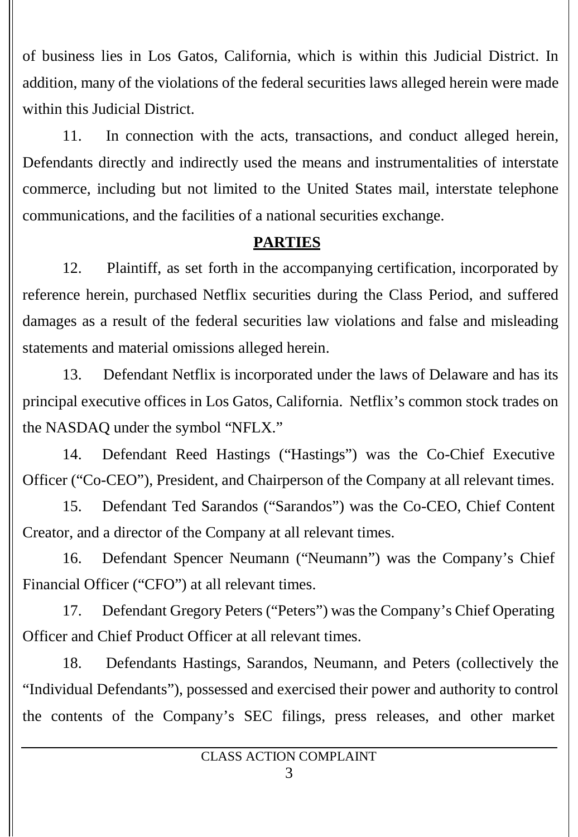of business lies in Los Gatos, California, which is within this Judicial District. In addition, many of the violations of the federal securities laws alleged herein were made within this Judicial District.

11. In connection with the acts, transactions, and conduct alleged herein, Defendants directly and indirectly used the means and instrumentalities of interstate commerce, including but not limited to the United States mail, interstate telephone communications, and the facilities of a national securities exchange.

## **PARTIES**

12. Plaintiff, as set forth in the accompanying certification, incorporated by reference herein, purchased Netflix securities during the Class Period, and suffered damages as a result of the federal securities law violations and false and misleading statements and material omissions alleged herein.

13. Defendant Netflix is incorporated under the laws of Delaware and has its principal executive offices in Los Gatos, California. Netflix's common stock trades on the NASDAQ under the symbol "NFLX."

14. Defendant Reed Hastings ("Hastings") was the Co-Chief Executive Officer ("Co-CEO"), President, and Chairperson of the Company at all relevant times.

15. Defendant Ted Sarandos ("Sarandos") was the Co-CEO, Chief Content Creator, and a director of the Company at all relevant times.

16. Defendant Spencer Neumann ("Neumann") was the Company's Chief Financial Officer ("CFO") at all relevant times.

17. Defendant Gregory Peters ("Peters") was the Company's Chief Operating Officer and Chief Product Officer at all relevant times.

18. Defendants Hastings, Sarandos, Neumann, and Peters (collectively the "Individual Defendants"), possessed and exercised their power and authority to control the contents of the Company's SEC filings, press releases, and other market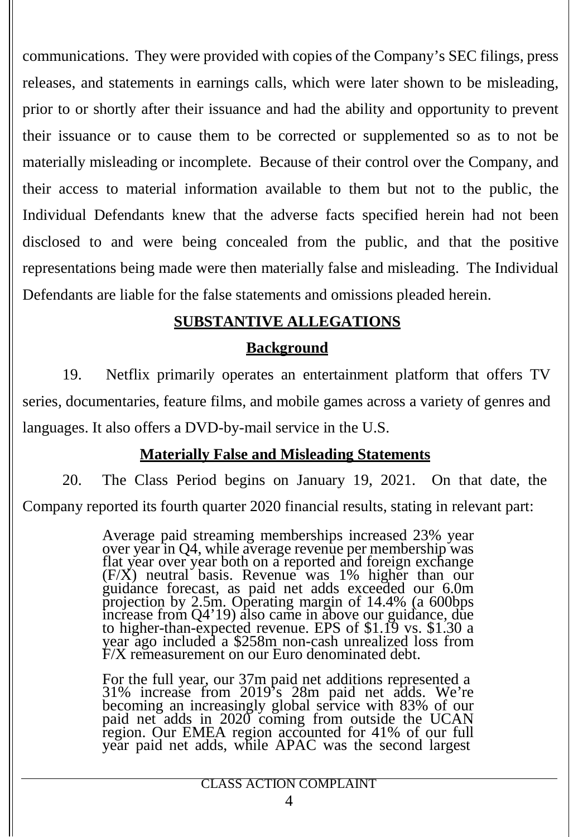communications. They were provided with copies of the Company's SEC filings, press releases, and statements in earnings calls, which were later shown to be misleading, prior to or shortly after their issuance and had the ability and opportunity to prevent their issuance or to cause them to be corrected or supplemented so as to not be materially misleading or incomplete. Because of their control over the Company, and their access to material information available to them but not to the public, the Individual Defendants knew that the adverse facts specified herein had not been disclosed to and were being concealed from the public, and that the positive representations being made were then materially false and misleading. The Individual Defendants are liable for the false statements and omissions pleaded herein.

## **SUBSTANTIVE ALLEGATIONS**

### **Background**

19. Netflix primarily operates an entertainment platform that offers TV series, documentaries, feature films, and mobile games across a variety of genres and languages. It also offers a DVD-by-mail service in the U.S.

## **Materially False and Misleading Statements**

20. The Class Period begins on January 19, 2021. On that date, the Company reported its fourth quarter 2020 financial results, stating in relevant part:

> Average paid streaming memberships increased 23% year over year in Q4, while average revenue per membership was flat year over year both on a reported and foreign exchange (F/X) neutral basis. Revenue was 1% higher than our guidance forecast, as paid net adds exceeded our 6.0m projection by 2.5m. Operating margin of 14.4% (a 600bps increase from Q4'19) also came in above our guidance, due to higher-than-expected revenue. EPS of \$1.19 vs. \$1.30 a year ago included a \$258m non-cash unrealized loss from F/X remeasurement on our Euro denominated debt.

For the full year, our 37m paid net additions represented a 31% increase from 2019's 28m paid net adds. We're becoming an increasingly global service with 83% of our paid net adds in 2020 coming from outside the UCAN region. Our EMEA region accounted for 41% of our full year paid net adds, while APAC was the second largest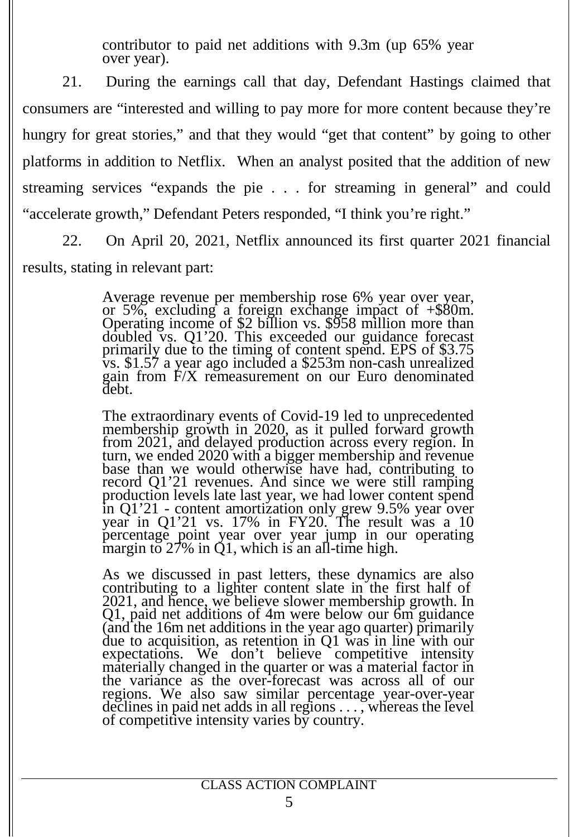contributor to paid net additions with 9.3m (up 65% year over year).

21. During the earnings call that day, Defendant Hastings claimed that consumers are "interested and willing to pay more for more content because they're hungry for great stories," and that they would "get that content" by going to other platforms in addition to Netflix. When an analyst posited that the addition of new streaming services "expands the pie . . . for streaming in general" and could "accelerate growth," Defendant Peters responded, "I think you're right."

22. On April 20, 2021, Netflix announced its first quarter 2021 financial results, stating in relevant part:

> Average revenue per membership rose 6% year over year, or 5%, excluding <sup>a</sup> foreign exchange impact of +\$80m. Operating income of \$2 billion vs. \$958 million more than doubled vs. Q1'20. This exceeded our guidance forecast primarily due to the timing of content spend. EPS of \$3.75 vs. \$1.57 a year ago included a \$253m non-cash unrealized gain from F/X remeasurement on our Euro denominated debt.

> The extraordinary events of Covid-19 led to unprecedented membership growth in 2020, as it pulled forward growth from 2021, and delayed production across every region. In turn, we ended 2020 with a bigger membership and revenue base than we would otherwise have had, contributing to record Q1'21 revenues. And since we were still ramping production levels late last year, we had lower content spend in Q1'21 - content amortization only grew 9.5% year over year in Q1'21 vs. 17% in FY20. The result was a 10 percentage point year over year jump in our operating margin to  $27\%$  in Q1, which is an all-time high.

> As we discussed in past letters, these dynamics are also contributing to a lighter content slate in the first half of 2021, and hence, we believe slower membership growth. In Q1, paid net additions of 4m were below our 6m guidance (and the 16m net additions in the year ago quarter) primarily due to acquisition, as retention in Q1 was in line with our expectations. We don't believe competitive intensity materially changed in the quarter or was a material factor in the variance as the over-forecast was across all of our regions. We also saw similar percentage year-over-year declines in paid net adds in all regions . . . , whereas the level of competitive intensity varies by country.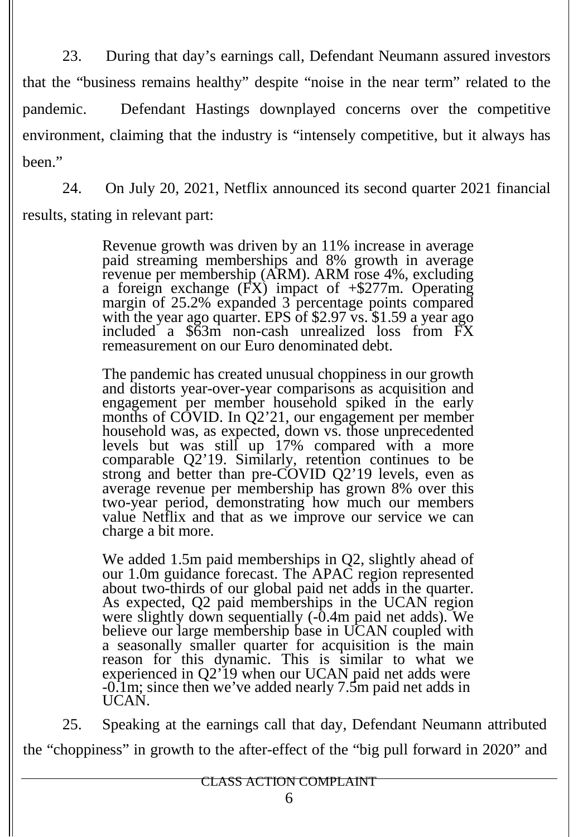23. During that day's earnings call, Defendant Neumann assured investors that the "business remains healthy" despite "noise in the near term" related to the pandemic. Defendant Hastings downplayed concerns over the competitive environment, claiming that the industry is "intensely competitive, but it always has been."

24. On July 20, 2021, Netflix announced its second quarter 2021 financial results, stating in relevant part:

> Revenue growth was driven by an 11% increase in average paid streaming memberships and 8% growth in average revenue per membership (ARM). ARM rose 4%, excluding a foreign exchange  $(FX)$  impact of  $+\$277m$ . Operating margin of 25.2% expanded 3 percentage points compared with the year ago quarter. EPS of \$2.97 vs. \$1.59 a year ago included a \$63m non-cash unrealized loss from FX remeasurement on our Euro denominated debt.

The pandemic has created unusual choppiness in our growth and distorts year-over-year comparisons as acquisition and engagement per member household spiked in the early months of COVID. In Q2'21, our engagement per member household was, as expected, down vs. those unprecedented levels but was still up 17% compared with a more comparable Q2'19. Similarly, retention continues to be strong and better than pre-COVID Q2'19 levels, even as average revenue per membership has grown 8% over this two-year period, demonstrating how much our members value Netflix and that as we improve our service we can charge a bit more.

We added 1.5m paid memberships in Q2, slightly ahead of our 1.0m guidance forecast. The APAC region represented about two-thirds of our global paid net adds in the quarter. As expected, Q2 paid memberships in the UCAN region were slightly down sequentially (-0.4m paid net adds). We believe our large membership base in UCAN coupled with a seasonally smaller quarter for acquisition is the main reason for this dynamic. This is similar to what we experienced in Q2'19 when our UCAN paid net adds were -0.1m; since then we've added nearly 7.5m paid net adds in UCAN.

25. Speaking at the earnings call that day, Defendant Neumann attributed the "choppiness" in growth to the after-effect of the "big pull forward in 2020" and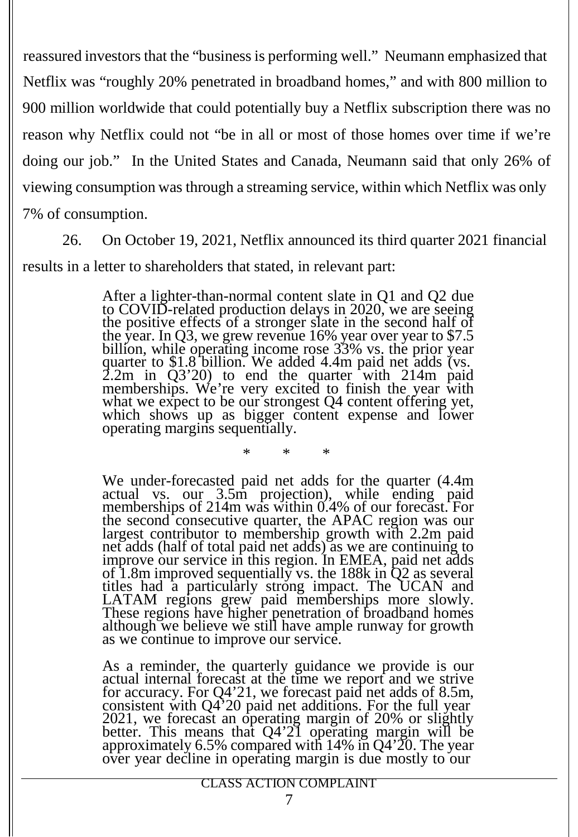reassured investors that the "businessis performing well." Neumann emphasized that Netflix was "roughly 20% penetrated in broadband homes," and with 800 million to 900 million worldwide that could potentially buy a Netflix subscription there was no reason why Netflix could not "be in all or most of those homes over time if we're doing our job." In the United States and Canada, Neumann said that only 26% of viewing consumption was through a streaming service, within which Netflix was only 7% of consumption.

26. On October 19, 2021, Netflix announced its third quarter 2021 financial results in a letter to shareholders that stated, in relevant part:

> After a lighter-than-normal content slate in Q1 and Q2 due to COVID-related production delays in 2020, we are seeing the positive effects of a stronger slate in the second half of the year. In Q3, we grew revenue 16% year over year to \$7.5 billion, while operating income rose 33% vs. the prior year quarter to \$1.8 billion. We added 4.4m paid net adds (vs. 2.2m in  $Q3'20$ ) to end the quarter with 214m paid memberships. We're very excited to finish the year with what we expect to be our strongest Q4 content offering yet, which shows up as bigger content expense and lower operating margins sequentially.

> > \* \* \*

We under-forecasted paid net adds for the quarter  $(4.4m)$ actual vs. our 3.5m projection), while ending paid memberships of 214m was within 0.4% of our forecast. For the second consecutive quarter, the APAC region was our largest contributor to membership growth with 2.2m paid net adds (half of total paid net adds) as we are continuing to improve our service in this region. In EMEA, paid net adds of 1.8m improved sequentially vs. the 188k in Q2 as several titles had a particularly strong impact. The UCAN and LATAM regions grew paid memberships more slowly. These regions have higher penetration of broadband homes although we believe we still have ample runway for growth as we continue to improve our service.

As a reminder, the quarterly guidance we provide is our actual internal forecast at the time we report and we strive for accuracy. For Q4'21, we forecast paid net adds of 8.5m, consistent with Q4'<sup>20</sup> paid net additions. For the full year 2021, we forecast an operating margin of20% or slightly better. This means that Q4'21 operating margin will be approximately 6.5% compared with 14% in Q4'20. The year over year decline in operating margin is due mostly to our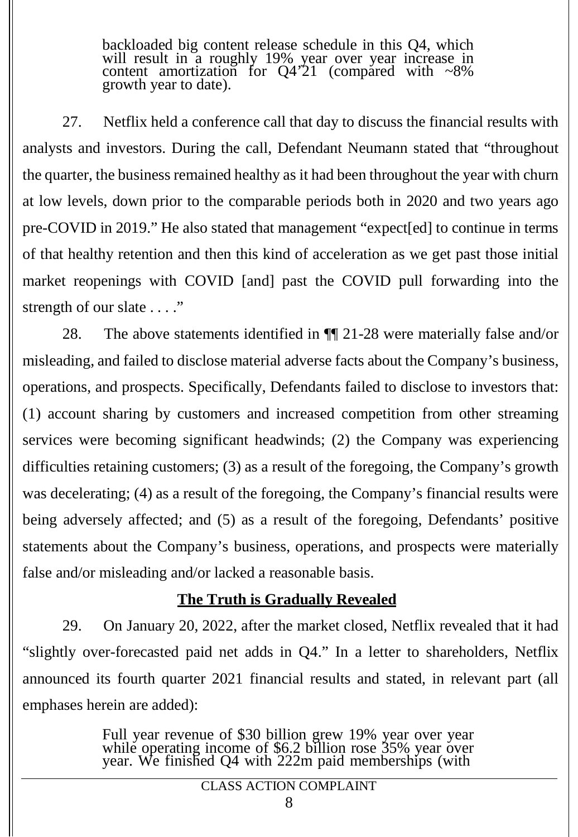backloaded big content release schedule in this Q4, which will result in a roughly 19% year over year increase in content amortization for  $Q4'21$  (compared with  $\sim 8\%$ growth year to date).

27. Netflix held a conference call that day to discuss the financial results with analysts and investors. During the call, Defendant Neumann stated that "throughout the quarter, the business remained healthy as it had been throughout the year with churn at low levels, down prior to the comparable periods both in 2020 and two years ago pre-COVID in 2019." He also stated that management "expect[ed] to continue in terms of that healthy retention and then this kind of acceleration as we get past those initial market reopenings with COVID [and] past the COVID pull forwarding into the strength of our slate . . . ."

28. The above statements identified in ¶¶ 21-28 were materially false and/or misleading, and failed to disclose material adverse facts about the Company's business, operations, and prospects. Specifically, Defendants failed to disclose to investors that: (1) account sharing by customers and increased competition from other streaming services were becoming significant headwinds; (2) the Company was experiencing difficulties retaining customers; (3) as a result of the foregoing, the Company's growth was decelerating; (4) as a result of the foregoing, the Company's financial results were being adversely affected; and (5) as a result of the foregoing, Defendants' positive statements about the Company's business, operations, and prospects were materially false and/or misleading and/or lacked a reasonable basis.

## **The Truth is Gradually Revealed**

29. On January 20, 2022, after the market closed, Netflix revealed that it had "slightly over-forecasted paid net adds in Q4." In a letter to shareholders, Netflix announced its fourth quarter 2021 financial results and stated, in relevant part (all emphases herein are added):

> Full year revenue of \$30 billion grew 19% year over year while operating income of \$6.2 billion rose 35% year over year. We finished Q4 with 222m paid memberships (with

> > CLASS ACTION COMPLAINT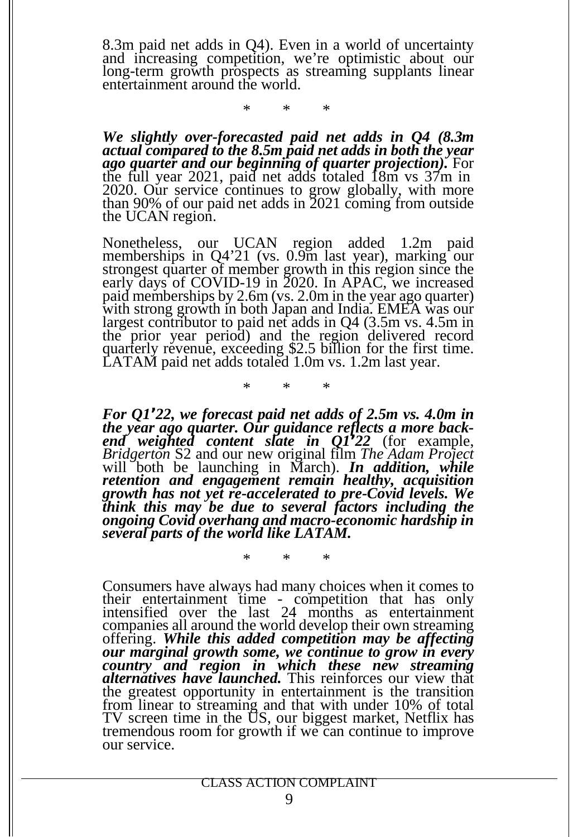8.3m paid net adds in Q4). Even in a world of uncertainty and increasing competition, we're optimistic about our long-term growth prospects as streaming supplants linear entertainment around the world.

\* \* \*

*We slightly over-forecasted paid net adds in Q4 (8.3m actual compared to the 8.5m paidnet adds in both the year ago quarter and our beginning of quarter projection).* For the full year 2021, paid net adds totaled 18m vs 37m in 2020. Our service continues to grow globally, with more than 90% of our paid net adds in 2021 coming from outside the UCAN region.

Nonetheless, our UCAN region added 1.2m paid memberships in Q4'21 (vs. 0.9m last year), marking our strongest quarter of member growth in this region since the early days of COVID-19 in 2020. In APAC, we increased paid memberships by 2.6m (vs. 2.0m in the year ago quarter) with strong growth in both Japan and India. EMEA was our largest contributor to paid net adds in Q4 (3.5m vs. 4.5m in the prior year period) and the region delivered record quarterly revenue, exceeding \$2.5 billion for the first time. LATAM paid net adds totaled 1.0m vs. 1.2m last year.

\* \* \*

\* \* \*

*For* Q1'22, we forecast paid net adds of 2.5m vs. 4.0m in the year ago quarter. Our guidance reflects a more backend weighted content slate in Q1'22 (for example, *Bridgerton* S2 and our new original film *The Adam Project* will both be launching in March). *In addition, while retention and engagement remain healthy, acquisition growth has not yet re-accelerated to pre-Covid levels. We think this may be due to several factors including the ongoing Covid overhang and macro-economic hardship in several parts of the world like LATAM.*

Consumers have always had many choices when it comes to their entertainment time - competition that has only intensified over the last 24 months as entertainment companies all around the world develop their own streaming offering. *While this added competition may be affecting our marginal growth some, we continue to grow in every country and region in which these new streaming alternatives have launched.* This reinforces our view that the greatest opportunity in entertainment is the transition from linear to streaming and that with under 10% of total TV screen time in the US, our biggest market, Netflix has tremendous room for growth if we can continue to improve our service.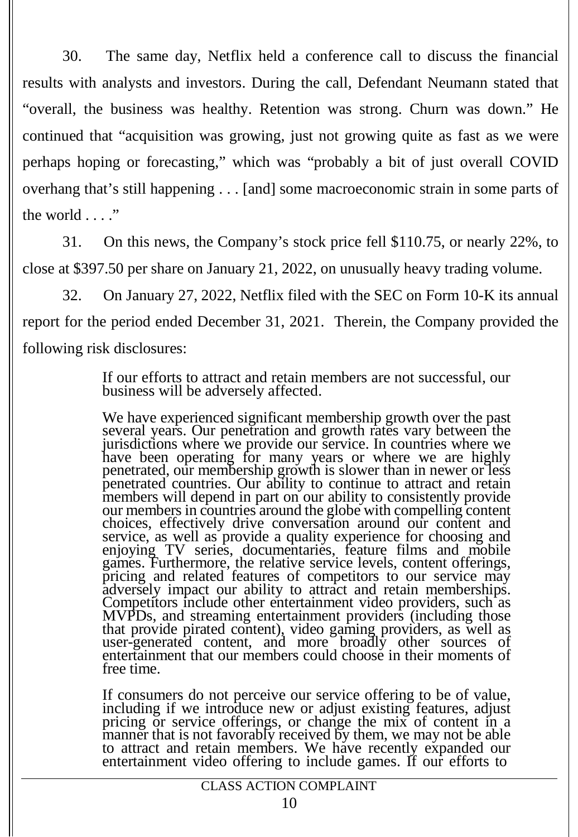30. The same day, Netflix held a conference call to discuss the financial results with analysts and investors. During the call, Defendant Neumann stated that "overall, the business was healthy. Retention was strong. Churn was down." He continued that "acquisition was growing, just not growing quite as fast as we were perhaps hoping or forecasting," which was "probably a bit of just overall COVID overhang that's still happening . . . [and] some macroeconomic strain in some parts of the world . . . ."

31. On this news, the Company's stock price fell \$110.75, or nearly 22%, to close at \$397.50 per share on January 21, 2022, on unusually heavy trading volume.

32. On January 27, 2022, Netflix filed with the SEC on Form 10-K its annual report for the period ended December 31, 2021. Therein, the Company provided the following risk disclosures:

> If our efforts to attract and retain members are not successful, our business will be adversely affected.

We have experienced significant membership growth over the past several years. Our penetration and growth rates vary between the jurisdictions where we provide our service. In countries where we have been operating for many years or where we are highly penetrated, our membership growth is slower than in newer or less penetrated countries. Our ability to continue to attract and retain members will depend in part on our ability to consistently provide our members in countries around the globe with compelling content choices, effectively drive conversation around our content and service, as well as provide a quality experience for choosing and enjoying TV series, documentaries, feature films and mobile games. Furthermore, the relative service levels, content offerings, pricing and related features of competitors to our service may adversely impact our ability to attract and retain memberships. Competitors include other entertainment video providers, such as MVPDs, and streaming entertainment providers (including those that provide pirated content), video gaming providers, as well as user-generated content, and more broadly other sources of entertainment that our members could choose in their moments of free time.

If consumers do not perceive our service offering to be of value, including if we introduce new or adjust existing features, adjust pricing or service offerings, or change the mix of content in a manner that is not favorably received by them, we may not be able to attract and retain members. We have recently expanded our entertainment video offering to include games. If our efforts to

### CLASS ACTION COMPLAINT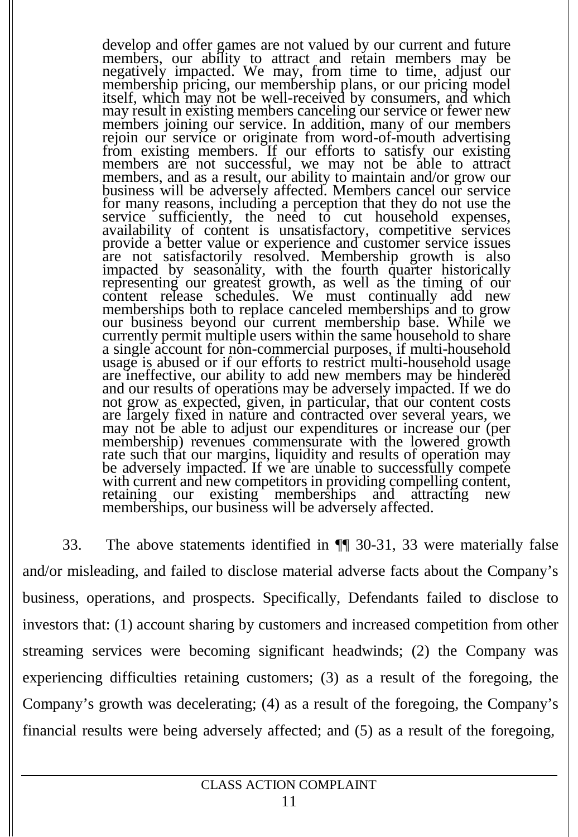develop and offer games are not valued by our current and future members, our ability to attract and retain members may be negatively impacted. We may, from time to time, adjust our membership pricing, our membership plans, or our pricing model itself, which may not be well-received by consumers, and which may result in existing members canceling our service or fewer new members joining our service. In addition, many of our members rejoin our service or originate from word-of-mouth advertising from existing members. If our efforts to satisfy our existing members are not successful, we may not be able to attract members, and as a result, our ability to maintain and/or grow our business will be adversely affected. Members cancel our service for many reasons, including a perception that they do not use the service sufficiently, the need to cut household expenses, availability of content is unsatisfactory, competitive services provide a better value or experience and customer service issues are not satisfactorily resolved. Membership growth is also impacted by seasonality, with the fourth quarter historically representing our greatest growth, as well as the timing of our content release schedules. We must continually add new memberships both to replace canceled memberships and to grow our business beyond our current membership base. While we currently permit multiple users within the same household to share a single account for non-commercial purposes, if multi-household usage is abused or if our efforts to restrict multi-household usage are ineffective, our ability to add new members may be hindered and our results of operations may be adversely impacted. If we do not grow as expected, given, in particular, that our content costs are largely fixed in nature and contracted over several years, we may not be able to adjust our expenditures or increase our (per membership) revenues commensurate with the lowered growth rate such that our margins, liquidity and results of operation may be adversely impacted. If we are unable to successfully compete with current and new competitors in providing compelling content, with current and new competitors in providing compelling content,<br>retaining our existing memberships and attracting new memberships, our business will be adversely affected.

33. The above statements identified in ¶¶ 30-31, 33 were materially false and/or misleading, and failed to disclose material adverse facts about the Company's business, operations, and prospects. Specifically, Defendants failed to disclose to investors that: (1) account sharing by customers and increased competition from other streaming services were becoming significant headwinds; (2) the Company was experiencing difficulties retaining customers; (3) as a result of the foregoing, the Company's growth was decelerating; (4) as a result of the foregoing, the Company's financial results were being adversely affected; and (5) as a result of the foregoing,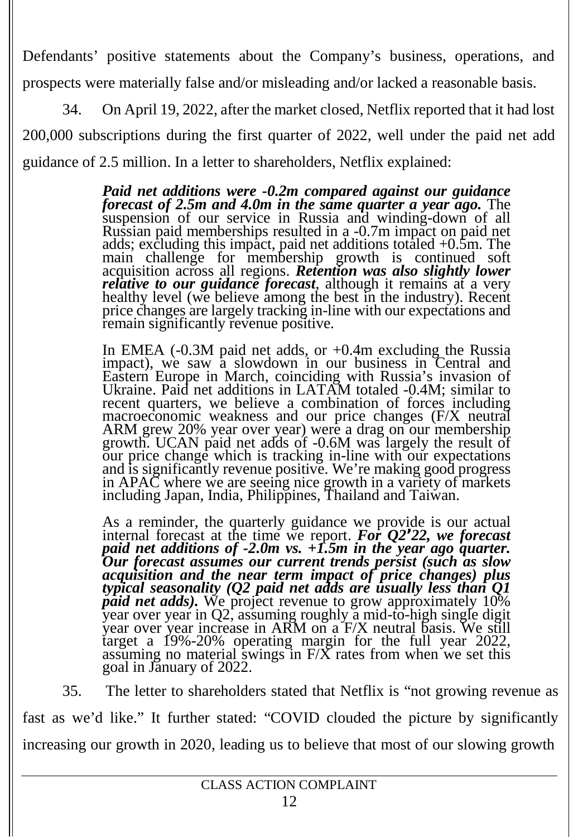Defendants' positive statements about the Company's business, operations, and prospects were materially false and/or misleading and/or lacked a reasonable basis.

34. On April 19, 2022, after the market closed, Netflix reported that it had lost 200,000 subscriptions during the first quarter of 2022, well under the paid net add guidance of 2.5 million. In a letter to shareholders, Netflix explained:

> *Paid netadditions were -0.2m compared against our guidance forecast of 2.5m and 4.0m in the same quarter a year ago.* The suspension of our service in Russia and winding-down of all Russian paid memberships resulted in a -0.7m impact on paid net adds; excluding this impact, paid net additions totaled +0.5m. The main challenge for membership growth is continued soft acquisition across all regions. *Retention was also slightly lower relative to our guidance forecast*, although it remains at a very healthy level (we believe among the best in the industry). Recent price changes are largely tracking in-line with our expectations and remain significantly revenue positive.

In EMEA (-0.3M paid net adds, or +0.4m excluding the Russia impact), we saw a slowdown in our business in Central and Eastern Europe in March, coinciding with Russia's invasion of Ukraine. Paid net additions in LATAM totaled -0.4M; similar to recent quarters, we believe a combination of forces including macroeconomic weakness and our price changes (F/X neutral ARM grew 20% year over year) were a drag on our membership growth. UCAN paid net adds of -0.6M was largely the result of our price change which is tracking in-line with our expectations and is significantly revenue positive. We're making good progress in APAC where we are seeing nice growth in a variety of markets including Japan, India, Philippines, Thailand and Taiwan.

As a reminder, the quarterly guidance we provide is our actual internal forecast at the time we report. *For Q2'22, we forecast* paid net additions of -2.0m vs. +1.5m in the year ago quarter.<br>Our forecast assumes our current trends persist (such as slow *acquisition and the near term impact of price changes) plus typical seasonality (Q2 paid netadds are usually less than Q1 paid net adds*). We project revenue to grow approximately 10% year over year in Q2, assuming roughly a mid-to-high single digit year over year increase in ARM on a F/X neutral basis. We still target <sup>a</sup> 19%-20% operating margin for the full year 2022, assuming no material swings in F/X rates from when we set this goal in January of 2022.

35. The letter to shareholders stated that Netflix is "not growing revenue as fast as we'd like." It further stated: "COVID clouded the picture by significantly increasing our growth in 2020, leading us to believe that most of our slowing growth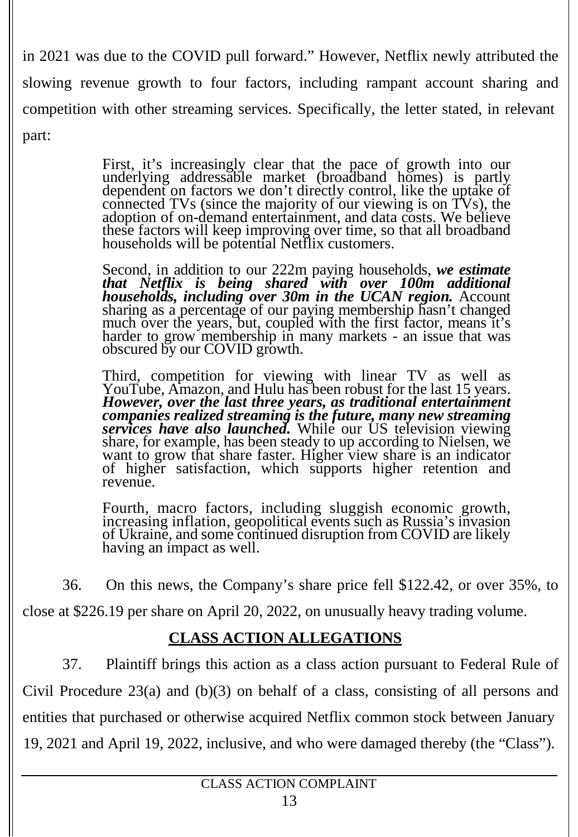in 2021 was due to the COVID pull forward." However, Netflix newly attributed the slowing revenue growth to four factors, including rampant account sharing and competition with other streaming services. Specifically, the letter stated, in relevant part:

> First, it's increasingly clear that the pace of growth into our underlying addressable market (broadband homes) is partly dependent on factors we don't directly control, like the uptake of connected TVs (since the majority of our viewing is on TVs), the adoption of on-demand entertainment, and data costs. We believe these factors will keep improving over time, so that all broadband households will be potential Netflix customers.

Second, in addition to our 222m paying households, *we estimate that Netflix is being shared with over 100m additional households, including over 30m in the UCAN region.* Account sharing as a percentage of our paying membership hasn't changed much over the years, but, coupled with the first factor, means it's harder to grow membership in many markets - an issue that was obscured by our COVID growth.

Third, competition for viewing with linear TV as well as YouTube, Amazon, and Hulu has been robust for the last 15 years. YouTube, Amazon, and Hulu has been robust for the last <sup>15</sup> years. *However, over the last three years, as traditional entertainment companies realized streaming is the future, many new streaming services have also launched.* While our US television viewing share, for example, has been steady to up according to Nielsen, we want to grow that share faster. Higher view share is an indicator of higher satisfaction, which supports higher retention and revenue.

Fourth, macro factors, including sluggish economic growth, increasing inflation, geopolitical events such as Russia'<sup>s</sup> invasion of Ukraine, and some continued disruption from COVID are likely having an impact as well.

36. On this news, the Company's share price fell \$122.42, or over 35%, to

close at \$226.19 per share on April 20, 2022, on unusually heavy trading volume.

## **CLASS ACTION ALLEGATIONS**

37. Plaintiff brings this action as a class action pursuant to Federal Rule of Civil Procedure 23(a) and (b)(3) on behalf of a class, consisting of all persons and entities that purchased or otherwise acquired Netflix common stock between January 19, 2021 and April 19, 2022, inclusive, and who were damaged thereby (the "Class").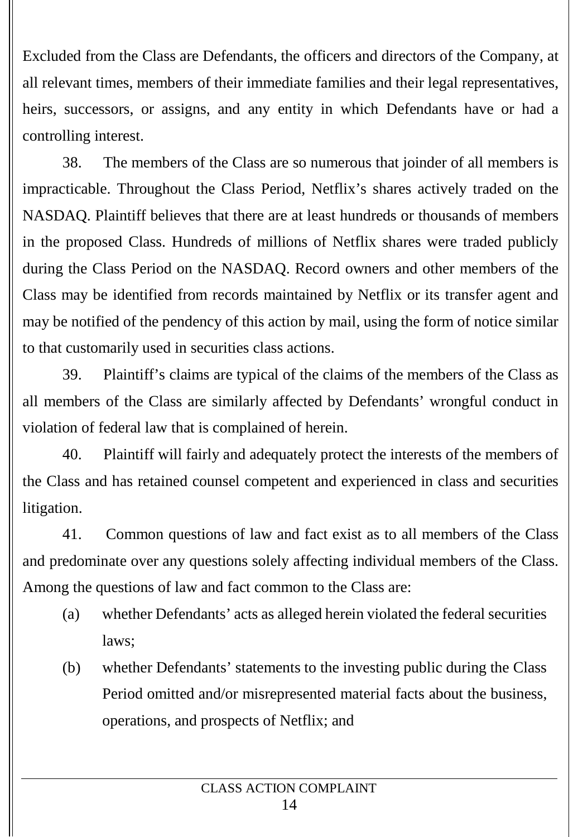Excluded from the Class are Defendants, the officers and directors of the Company, at all relevant times, members of their immediate families and their legal representatives, heirs, successors, or assigns, and any entity in which Defendants have or had a controlling interest.

38. The members of the Class are so numerous that joinder of all members is impracticable. Throughout the Class Period, Netflix's shares actively traded on the NASDAQ. Plaintiff believes that there are at least hundreds or thousands of members in the proposed Class. Hundreds of millions of Netflix shares were traded publicly during the Class Period on the NASDAQ. Record owners and other members of the Class may be identified from records maintained by Netflix or its transfer agent and may be notified of the pendency of this action by mail, using the form of notice similar to that customarily used in securities class actions.

39. Plaintiff's claims are typical of the claims of the members of the Class as all members of the Class are similarly affected by Defendants' wrongful conduct in violation of federal law that is complained of herein.

40. Plaintiff will fairly and adequately protect the interests of the members of the Class and has retained counsel competent and experienced in class and securities litigation.

41. Common questions of law and fact exist as to all members of the Class and predominate over any questions solely affecting individual members of the Class. Among the questions of law and fact common to the Class are:

- (a) whether Defendants' acts as alleged herein violated the federal securities laws;
- (b) whether Defendants' statements to the investing public during the Class Period omitted and/or misrepresented material facts about the business, operations, and prospects of Netflix; and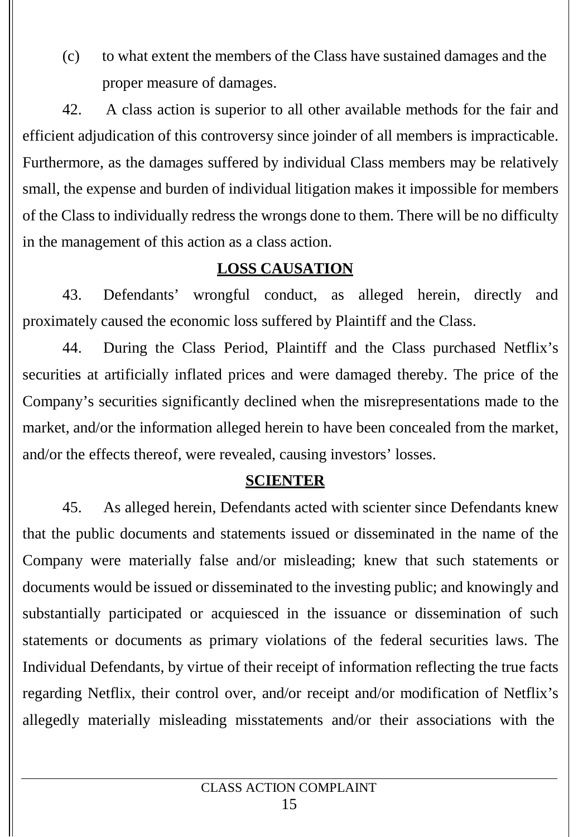(c) to what extent the members of the Class have sustained damages and the proper measure of damages.

42. A class action is superior to all other available methods for the fair and efficient adjudication of this controversy since joinder of all members is impracticable. Furthermore, as the damages suffered by individual Class members may be relatively small, the expense and burden of individual litigation makes it impossible for members of the Class to individually redress the wrongs done to them. There will be no difficulty in the management of this action as a class action.

## **LOSS CAUSATION**

43. Defendants' wrongful conduct, as alleged herein, directly and proximately caused the economic loss suffered by Plaintiff and the Class.

44. During the Class Period, Plaintiff and the Class purchased Netflix's securities at artificially inflated prices and were damaged thereby. The price of the Company's securities significantly declined when the misrepresentations made to the market, and/or the information alleged herein to have been concealed from the market, and/or the effects thereof, were revealed, causing investors' losses.

## **SCIENTER**

45. As alleged herein, Defendants acted with scienter since Defendants knew that the public documents and statements issued or disseminated in the name of the Company were materially false and/or misleading; knew that such statements or documents would be issued or disseminated to the investing public; and knowingly and substantially participated or acquiesced in the issuance or dissemination of such statements or documents as primary violations of the federal securities laws. The Individual Defendants, by virtue of their receipt of information reflecting the true facts regarding Netflix, their control over, and/or receipt and/or modification of Netflix's allegedly materially misleading misstatements and/or their associations with the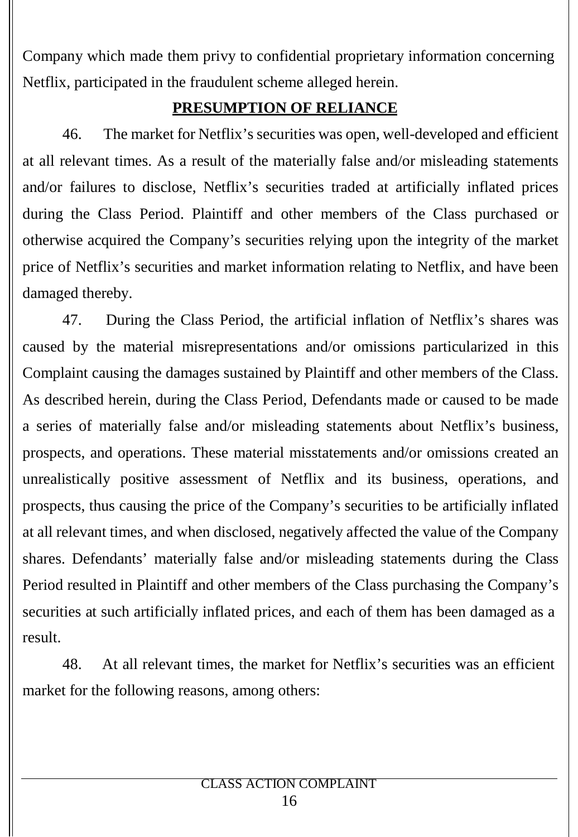Company which made them privy to confidential proprietary information concerning Netflix, participated in the fraudulent scheme alleged herein.

## **PRESUMPTION OF RELIANCE**

46. The market for Netflix's securities was open, well-developed and efficient at all relevant times. As a result of the materially false and/or misleading statements and/or failures to disclose, Netflix's securities traded at artificially inflated prices during the Class Period. Plaintiff and other members of the Class purchased or otherwise acquired the Company's securities relying upon the integrity of the market price of Netflix's securities and market information relating to Netflix, and have been damaged thereby.

47. During the Class Period, the artificial inflation of Netflix's shares was caused by the material misrepresentations and/or omissions particularized in this Complaint causing the damages sustained by Plaintiff and other members of the Class. As described herein, during the Class Period, Defendants made or caused to be made a series of materially false and/or misleading statements about Netflix's business, prospects, and operations. These material misstatements and/or omissions created an unrealistically positive assessment of Netflix and its business, operations, and prospects, thus causing the price of the Company's securities to be artificially inflated at all relevant times, and when disclosed, negatively affected the value of the Company shares. Defendants' materially false and/or misleading statements during the Class Period resulted in Plaintiff and other members of the Class purchasing the Company's securities at such artificially inflated prices, and each of them has been damaged as a

result.<br>48. At all relevant times, the market for Netflix's securities was an efficient market for the following reasons, among others: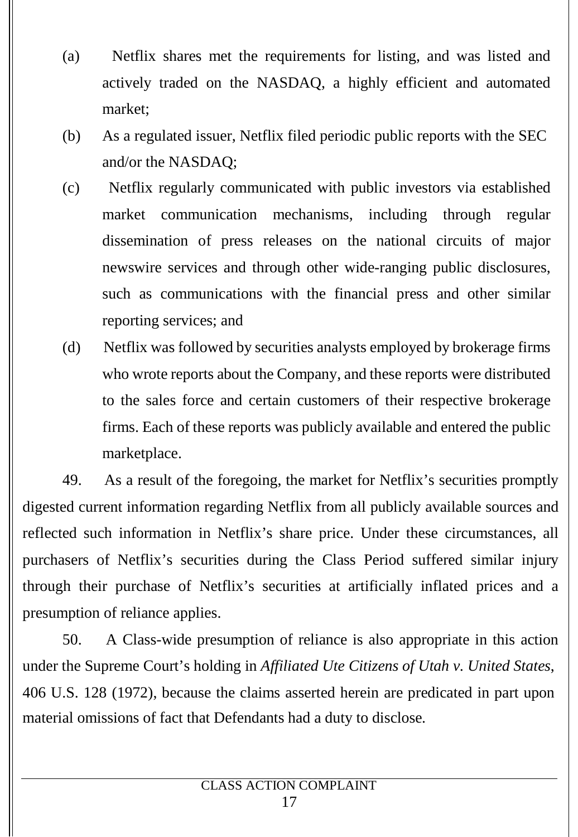- (a) Netflix shares met the requirements for listing, and was listed and actively traded on the NASDAQ, a highly efficient and automated market;
- (b) As a regulated issuer, Netflix filed periodic public reports with the SEC and/or the NASDAQ;
- (c) Netflix regularly communicated with public investors via established market communication mechanisms, including through regular dissemination of press releases on the national circuits of major newswire services and through other wide-ranging public disclosures, such as communications with the financial press and other similar reporting services; and
- (d) Netflix was followed by securities analysts employed by brokerage firms who wrote reports about the Company, and these reports were distributed to the sales force and certain customers of their respective brokerage firms. Each of these reports was publicly available and entered the public marketplace.

49. As a result of the foregoing, the market for Netflix's securities promptly digested current information regarding Netflix from all publicly available sources and reflected such information in Netflix's share price. Under these circumstances, all purchasers of Netflix's securities during the Class Period suffered similar injury through their purchase of Netflix's securities at artificially inflated prices and a presumption of reliance applies.

50. A Class-wide presumption of reliance is also appropriate in this action under the Supreme Court's holding in *Af iliated Ute Citizens of Utah v. United States*, 406 U.S. 128 (1972), because the claims asserted herein are predicated in part upon material omissions of fact that Defendants had a duty to disclose.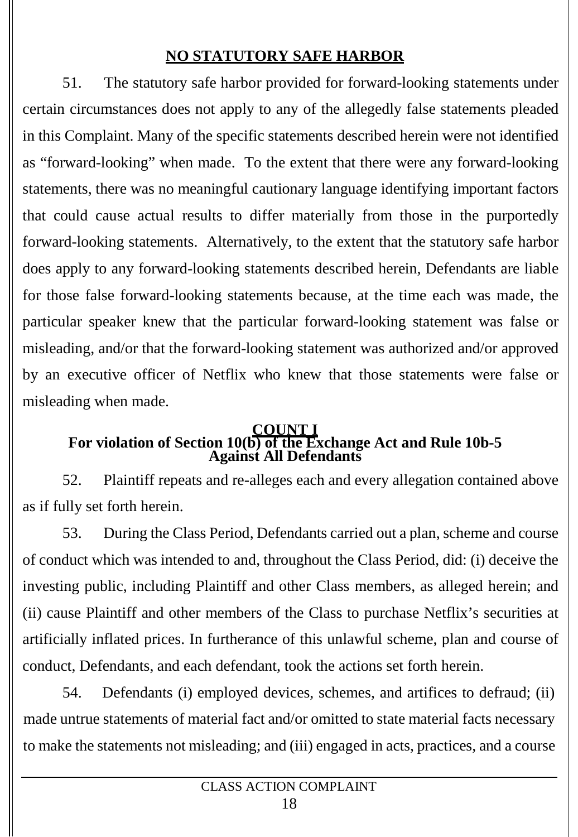## **NO STATUTORY SAFE HARBOR**

51. The statutory safe harbor provided for forward-looking statements under certain circumstances does not apply to any of the allegedly false statements pleaded in this Complaint. Many of the specific statements described herein were not identified as "forward-looking" when made. To the extent that there were any forward-looking statements, there was no meaningful cautionary language identifying important factors that could cause actual results to differ materially from those in the purportedly forward-looking statements. Alternatively, to the extent that the statutory safe harbor does apply to any forward-looking statements described herein, Defendants are liable for those false forward-looking statements because, at the time each was made, the particular speaker knew that the particular forward-looking statement was false or misleading, and/or that the forward-looking statement was authorized and/or approved by an executive officer of Netflix who knew that those statements were false or misleading when made.

#### **COUNT I For violation of Section 10(b) of the Exchange Act and Rule 10b-5 Against All Defendants**

52. Plaintiff repeats and re-alleges each and every allegation contained above as if fully set forth herein.

53. During the Class Period, Defendants carried out a plan, scheme and course of conduct which was intended to and, throughout the Class Period, did: (i) deceive the investing public, including Plaintiff and other Class members, as alleged herein; and (ii) cause Plaintiff and other members of the Class to purchase Netflix's securities at artificially inflated prices. In furtherance of this unlawful scheme, plan and course of conduct, Defendants, and each defendant, took the actions set forth herein.

54. Defendants (i) employed devices, schemes, and artifices to defraud; (ii) made untrue statements of material fact and/or omitted to state material facts necessary to make the statements not misleading; and (iii) engaged in acts, practices, and a course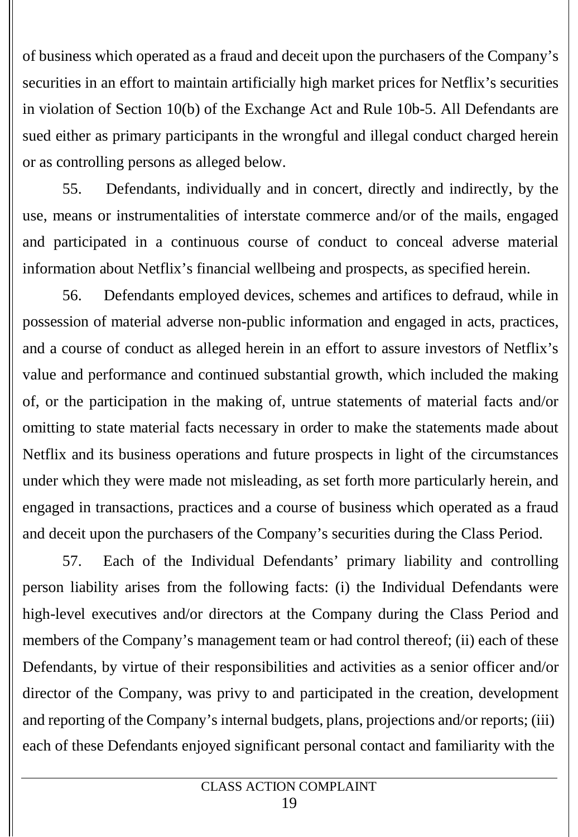of business which operated as a fraud and deceit upon the purchasers of the Company's securities in an effort to maintain artificially high market prices for Netflix's securities in violation of Section 10(b) of the Exchange Act and Rule 10b-5. All Defendants are sued either as primary participants in the wrongful and illegal conduct charged herein or as controlling persons as alleged below.

55. Defendants, individually and in concert, directly and indirectly, by the use, means or instrumentalities of interstate commerce and/or of the mails, engaged and participated in a continuous course of conduct to conceal adverse material information about Netflix's financial wellbeing and prospects, as specified herein.

56. Defendants employed devices, schemes and artifices to defraud, while in possession of material adverse non-public information and engaged in acts, practices, and a course of conduct as alleged herein in an effort to assure investors of Netflix's value and performance and continued substantial growth, which included the making of, or the participation in the making of, untrue statements of material facts and/or omitting to state material facts necessary in order to make the statements made about Netflix and its business operations and future prospects in light of the circumstances under which they were made not misleading, as set forth more particularly herein, and engaged in transactions, practices and a course of business which operated as a fraud and deceit upon the purchasers of the Company's securities during the Class Period.

57. Each of the Individual Defendants' primary liability and controlling person liability arises from the following facts: (i) the Individual Defendants were high-level executives and/or directors at the Company during the Class Period and members of the Company's management team or had control thereof; (ii) each of these Defendants, by virtue of their responsibilities and activities as a senior officer and/or director of the Company, was privy to and participated in the creation, development and reporting of the Company's internal budgets, plans, projections and/or reports; (iii) each of these Defendants enjoyed significant personal contact and familiarity with the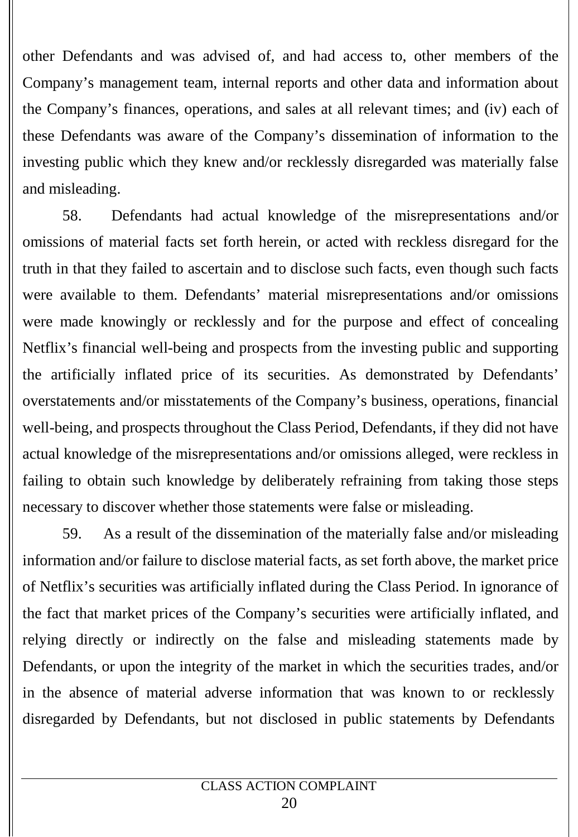other Defendants and was advised of, and had access to, other members of the Company's management team, internal reports and other data and information about the Company's finances, operations, and sales at all relevant times; and (iv) each of these Defendants was aware of the Company's dissemination of information to the investing public which they knew and/or recklessly disregarded was materially false and misleading.

58. Defendants had actual knowledge of the misrepresentations and/or omissions of material facts set forth herein, or acted with reckless disregard for the truth in that they failed to ascertain and to disclose such facts, even though such facts were available to them. Defendants' material misrepresentations and/or omissions were made knowingly or recklessly and for the purpose and effect of concealing Netflix's financial well-being and prospects from the investing public and supporting the artificially inflated price of its securities. As demonstrated by Defendants' overstatements and/or misstatements of the Company's business, operations, financial well-being, and prospects throughout the Class Period, Defendants, if they did not have actual knowledge of the misrepresentations and/or omissions alleged, were reckless in failing to obtain such knowledge by deliberately refraining from taking those steps necessary to discover whether those statements were false or misleading.

59. As a result of the dissemination of the materially false and/or misleading information and/or failure to disclose material facts, as set forth above, the market price of Netflix's securities was artificially inflated during the Class Period. In ignorance of the fact that market prices of the Company's securities were artificially inflated, and relying directly or indirectly on the false and misleading statements made by Defendants, or upon the integrity of the market in which the securities trades, and/or in the absence of material adverse information that was known to or recklessly disregarded by Defendants, but not disclosed in public statements by Defendants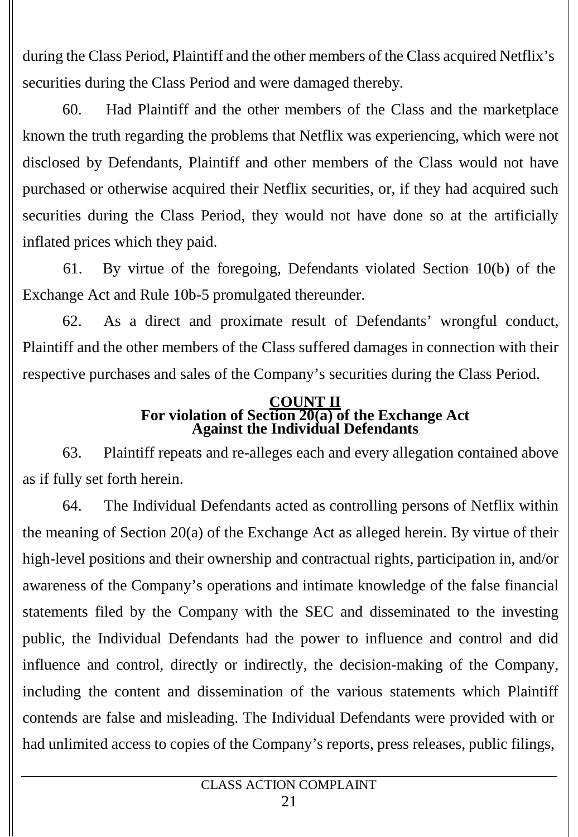during the Class Period, Plaintiff and the other members of the Class acquired Netflix's securities during the Class Period and were damaged thereby.

60. Had Plaintiff and the other members of the Class and the marketplace known the truth regarding the problems that Netflix was experiencing, which were not disclosed by Defendants, Plaintiff and other members of the Class would nothave purchased or otherwise acquired their Netflix securities, or, if they had acquired such securities during the Class Period, they would not have done so at the artificially inflated prices which they paid.

61. By virtue of the foregoing, Defendants violated Section 10(b) of the Exchange Act and Rule 10b-5 promulgated thereunder.

62. As a direct and proximate result of Defendants' wrongful conduct, Plaintiff and the other members of the Class suffered damages in connection with their respective purchases and sales of the Company's securities during the Class Period.

#### **COUNT II For violation of Section 20(a) of the Exchange Act Against the Individual Defendants**

63. Plaintiff repeats and re-alleges each and every allegation contained above as if fully set forth herein.

64. The Individual Defendants acted as controlling persons of Netflix within the meaning of Section 20(a) of the Exchange Act as alleged herein. By virtue of their high-level positions and their ownership and contractual rights, participation in, and/or awareness of the Company's operations and intimate knowledge of the false financial statements filed by the Company with the SEC and disseminated to the investing public, the Individual Defendants had the power to influence and control and did influence and control, directly or indirectly, the decision-making of the Company, including the content and dissemination of the various statements which Plaintiff contends are false and misleading. The Individual Defendants were provided with or had unlimited access to copies of the Company's reports, press releases, public filings,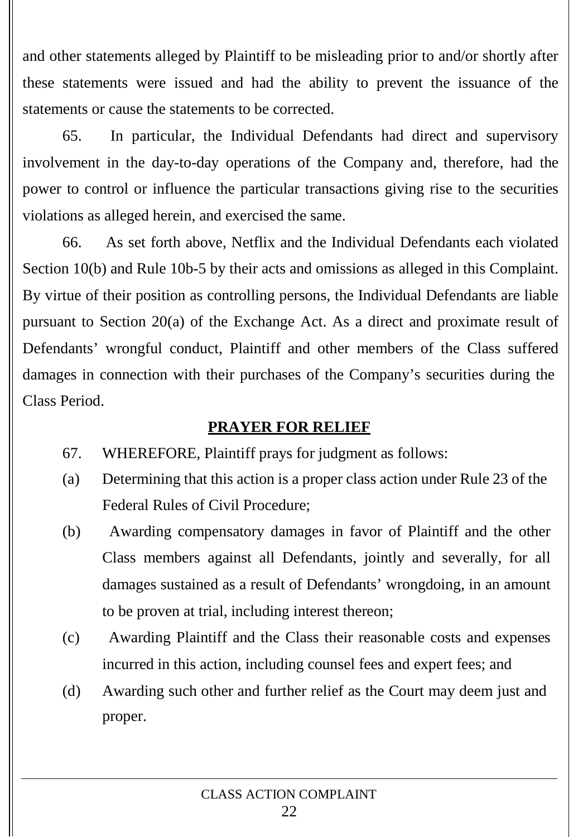and other statements alleged by Plaintiff to be misleading prior to and/or shortly after these statements were issued and had the ability to prevent the issuance of the statements or cause the statements to be corrected.

65. In particular, the Individual Defendants had direct and supervisory involvement in the day-to-day operations of the Company and, therefore, had the power to control or influence the particular transactions giving rise to the securities violations as alleged herein, and exercised the same.

66. As set forth above, Netflix and the Individual Defendants each violated Section 10(b) and Rule 10b-5 by their acts and omissions as alleged in this Complaint. By virtue of their position as controlling persons, the Individual Defendants are liable pursuant to Section 20(a) of the Exchange Act. As a direct and proximate result of Defendants' wrongful conduct, Plaintiff and other members of the Class suffered damages in connection with their purchases of the Company's securities during the Class Period.

## **PRAYER FOR RELIEF**

- 67. WHEREFORE, Plaintiff prays for judgment as follows:
- (a) Determining that this action is a proper class action under Rule 23 of the Federal Rules of Civil Procedure;
- (b) Awarding compensatory damages in favor of Plaintiff and the other Class members against all Defendants, jointly and severally, for all damages sustained as a result of Defendants' wrongdoing, in an amount to be proven at trial, including interest thereon;
- (c) Awarding Plaintiff and the Class their reasonable costs and expenses incurred in this action, including counsel fees and expert fees; and
- (d) Awarding such other and further relief as the Court may deem just and proper.